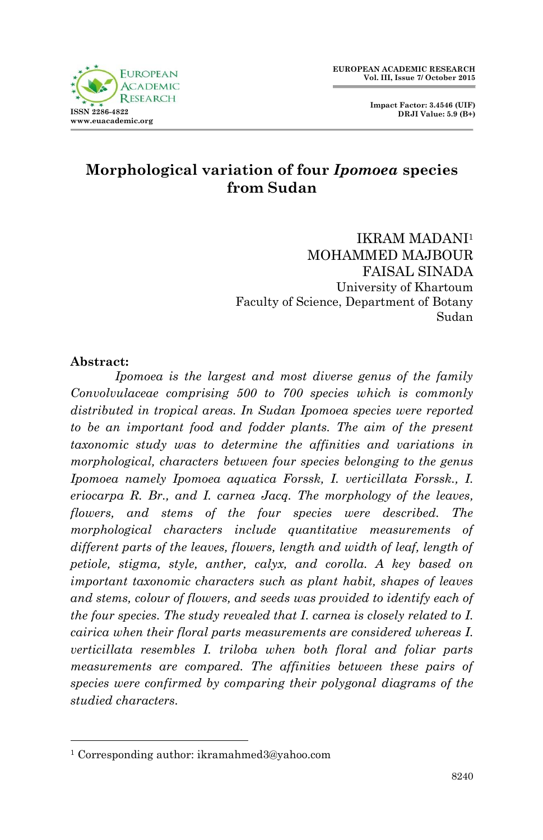



# **Morphological variation of four** *Ipomoea* **species from Sudan**

IKRAM MADANI<sup>1</sup> MOHAMMED MAJBOUR FAISAL SINADA University of Khartoum Faculty of Science, Department of Botany Sudan

#### **Abstract:**

1

*Ipomoea is the largest and most diverse genus of the family Convolvulaceae comprising 500 to 700 species which is commonly distributed in tropical areas. In Sudan Ipomoea species were reported to be an important food and fodder plants. The aim of the present taxonomic study was to determine the affinities and variations in morphological, characters between four species belonging to the genus Ipomoea namely Ipomoea aquatica Forssk, I. verticillata Forssk., I. eriocarpa R. Br., and I. carnea Jacq. The morphology of the leaves, flowers, and stems of the four species were described. The morphological characters include quantitative measurements of*  different parts of the leaves, flowers, length and width of leaf, length of *petiole, stigma, style, anther, calyx, and corolla. A key based on important taxonomic characters such as plant habit, shapes of leaves and stems, colour of flowers, and seeds was provided to identify each of the four species. The study revealed that I. carnea is closely related to I. cairica when their floral parts measurements are considered whereas I. verticillata resembles I. triloba when both floral and foliar parts measurements are compared. The affinities between these pairs of species were confirmed by comparing their polygonal diagrams of the studied characters.*

<sup>1</sup> Corresponding author: ikramahmed3@yahoo.com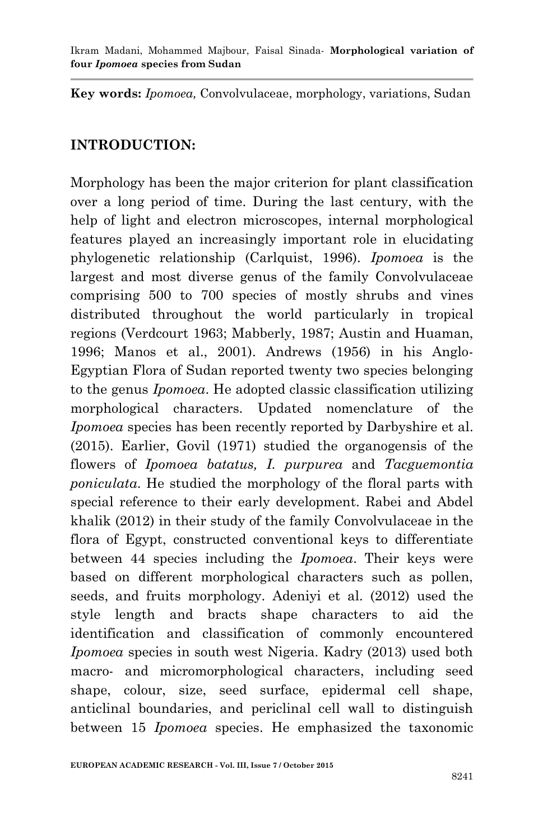**Key words:** *Ipomoea,* Convolvulaceae, morphology, variations, Sudan

### **INTRODUCTION:**

Morphology has been the major criterion for plant classification over a long period of time. During the last century, with the help of light and electron microscopes, internal morphological features played an increasingly important role in elucidating phylogenetic relationship (Carlquist, 1996). *Ipomoea* is the largest and most diverse genus of the family Convolvulaceae comprising 500 to 700 species of mostly shrubs and vines distributed throughout the world particularly in tropical regions (Verdcourt 1963; Mabberly, 1987; Austin and Huaman, 1996; Manos et al., 2001). Andrews (1956) in his Anglo-Egyptian Flora of Sudan reported twenty two species belonging to the genus *Ipomoea*. He adopted classic classification utilizing morphological characters. Updated nomenclature of the *Ipomoea* species has been recently reported by Darbyshire et al. (2015). Earlier, Govil (1971) studied the organogensis of the flowers of *Ipomoea batatus, I. purpurea* and *Tacguemontia poniculata*. He studied the morphology of the floral parts with special reference to their early development. Rabei and Abdel khalik (2012) in their study of the family Convolvulaceae in the flora of Egypt, constructed conventional keys to differentiate between 44 species including the *Ipomoea*. Their keys were based on different morphological characters such as pollen, seeds, and fruits morphology. Adeniyi et al. (2012) used the style length and bracts shape characters to aid the identification and classification of commonly encountered *Ipomoea* species in south west Nigeria. Kadry (2013) used both macro- and micromorphological characters, including seed shape, colour, size, seed surface, epidermal cell shape, anticlinal boundaries, and periclinal cell wall to distinguish between 15 *Ipomoea* species. He emphasized the taxonomic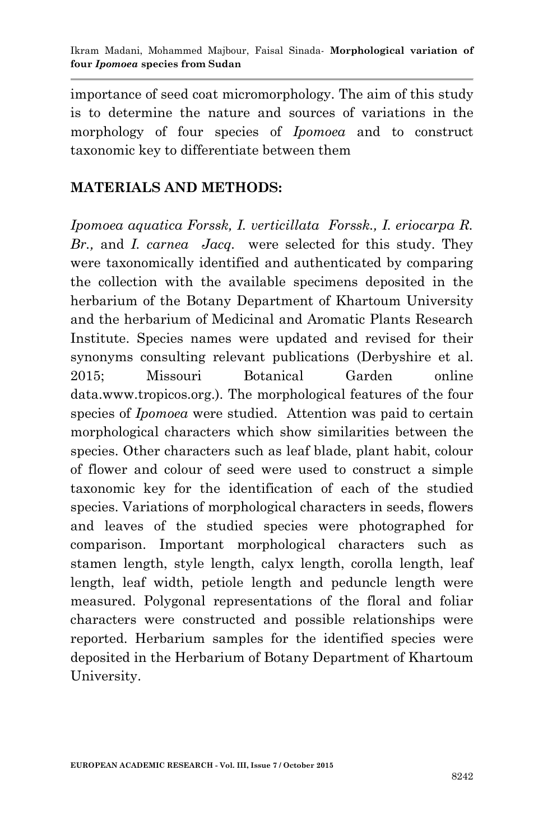importance of seed coat micromorphology. The aim of this study is to determine the nature and sources of variations in the morphology of four species of *Ipomoea* and to construct taxonomic key to differentiate between them

## **MATERIALS AND METHODS:**

*Ipomoea aquatica Forssk, I. verticillata Forssk., I. eriocarpa R. Br.,* and *I. carnea Jacq.* were selected for this study. They were taxonomically identified and authenticated by comparing the collection with the available specimens deposited in the herbarium of the Botany Department of Khartoum University and the herbarium of Medicinal and Aromatic Plants Research Institute. Species names were updated and revised for their synonyms consulting relevant publications (Derbyshire et al. 2015; Missouri Botanical Garden online data.www.tropicos.org.). The morphological features of the four species of *Ipomoea* were studied. Attention was paid to certain morphological characters which show similarities between the species. Other characters such as leaf blade, plant habit, colour of flower and colour of seed were used to construct a simple taxonomic key for the identification of each of the studied species. Variations of morphological characters in seeds, flowers and leaves of the studied species were photographed for comparison. Important morphological characters such as stamen length, style length, calyx length, corolla length, leaf length, leaf width, petiole length and peduncle length were measured. Polygonal representations of the floral and foliar characters were constructed and possible relationships were reported. Herbarium samples for the identified species were deposited in the Herbarium of Botany Department of Khartoum University.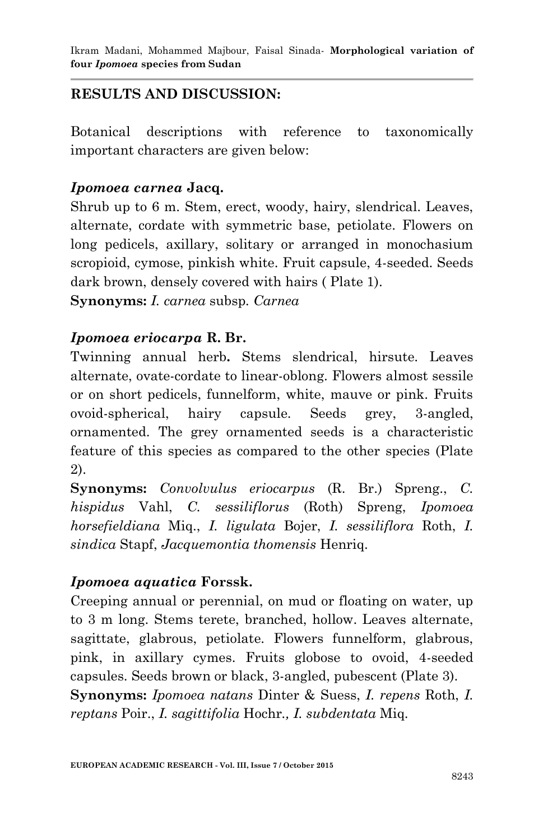# **RESULTS AND DISCUSSION:**

Botanical descriptions with reference to taxonomically important characters are given below:

## *Ipomoea carnea* **Jacq.**

Shrub up to 6 m. Stem, erect, woody, hairy, slendrical. Leaves, alternate, cordate with symmetric base, petiolate. Flowers on long pedicels, axillary, solitary or arranged in monochasium scropioid, cymose, pinkish white. Fruit capsule, 4-seeded. Seeds dark brown, densely covered with hairs ( Plate 1).

**Synonyms:** *I. carnea* subsp*. Carnea*

## *Ipomoea eriocarpa* **R. Br.**

Twinning annual herb**.** Stems slendrical, hirsute. Leaves alternate, ovate-cordate to linear-oblong. Flowers almost sessile or on short pedicels, funnelform, white, mauve or pink. Fruits ovoid-spherical, hairy capsule. Seeds grey, 3-angled, ornamented. The grey ornamented seeds is a characteristic feature of this species as compared to the other species (Plate 2).

**Synonyms:** *Convolvulus eriocarpus* (R. Br.) Spreng., *C. hispidus* Vahl, *C. sessiliflorus* (Roth) Spreng, *Ipomoea horsefieldiana* Miq., *I. ligulata* Bojer, *I. sessiliflora* Roth, *I. sindica* Stapf, *Jacquemontia thomensis* Henriq.

# *Ipomoea aquatica* **Forssk.**

Creeping annual or perennial, on mud or floating on water, up to 3 m long. Stems terete, branched, hollow. Leaves alternate, sagittate, glabrous, petiolate. Flowers funnelform, glabrous, pink, in axillary cymes. Fruits globose to ovoid, 4-seeded capsules. Seeds brown or black, 3-angled, pubescent (Plate 3). **Synonyms:** *Ipomoea natans* Dinter & Suess, *I. repens* Roth, *I. reptans* Poir., *I. sagittifolia* Hochr*., I. subdentata* Miq.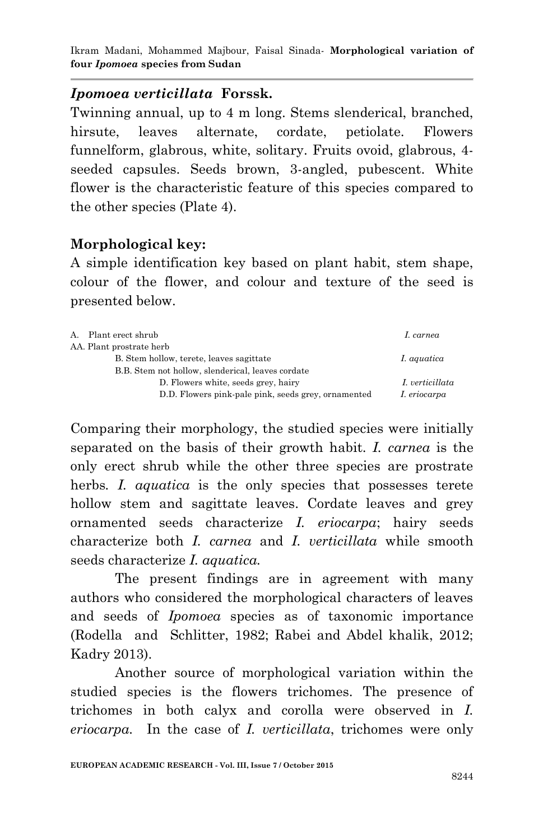#### *Ipomoea verticillata* **Forssk.**

Twinning annual, up to 4 m long. Stems slenderical, branched, hirsute, leaves alternate, cordate, petiolate. Flowers funnelform, glabrous, white, solitary. Fruits ovoid, glabrous, 4 seeded capsules. Seeds brown, 3-angled, pubescent. White flower is the characteristic feature of this species compared to the other species (Plate 4).

#### **Morphological key:**

A simple identification key based on plant habit, stem shape, colour of the flower, and colour and texture of the seed is presented below.

| A. Plant erect shrub                                | I. carnea       |
|-----------------------------------------------------|-----------------|
| AA. Plant prostrate herb                            |                 |
| B. Stem hollow, terete, leaves sagittate            | I. aquatica     |
| B.B. Stem not hollow, slenderical, leaves cordate   |                 |
| D. Flowers white, seeds grey, hairy                 | I. verticillata |
| D.D. Flowers pink-pale pink, seeds grey, ornamented | I. eriocarpa    |
|                                                     |                 |

Comparing their morphology, the studied species were initially separated on the basis of their growth habit. *I. carnea* is the only erect shrub while the other three species are prostrate herbs. I. *aquatica* is the only species that possesses terete hollow stem and sagittate leaves. Cordate leaves and grey ornamented seeds characterize *I. eriocarpa*; hairy seeds characterize both *I. carnea* and *I. verticillata* while smooth seeds characterize *I. aquatica.*

The present findings are in agreement with many authors who considered the morphological characters of leaves and seeds of *Ipomoea* species as of taxonomic importance (Rodella and Schlitter, 1982; Rabei and Abdel khalik, 2012; Kadry 2013).

Another source of morphological variation within the studied species is the flowers trichomes. The presence of trichomes in both calyx and corolla were observed in *I. eriocarpa.* In the case of *I. verticillata*, trichomes were only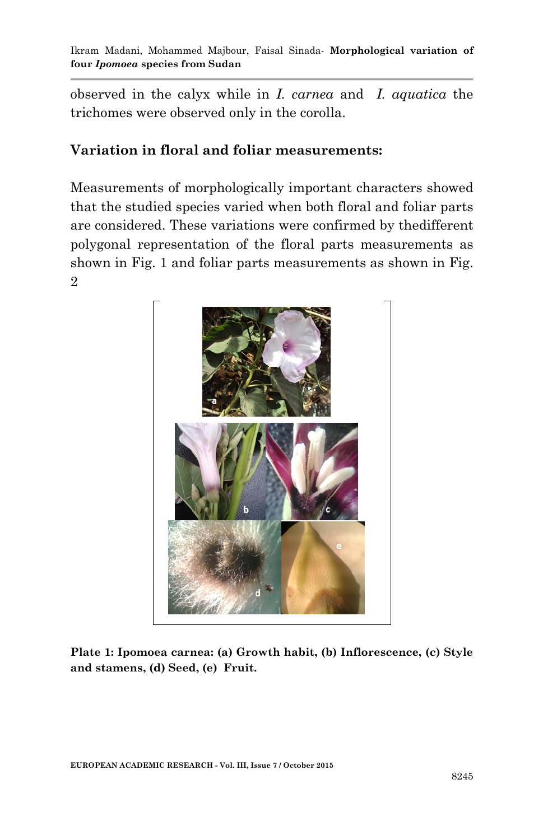observed in the calyx while in *I. carnea* and *I. aquatica* the trichomes were observed only in the corolla.

### **Variation in floral and foliar measurements:**

Measurements of morphologically important characters showed that the studied species varied when both floral and foliar parts are considered. These variations were confirmed by thedifferent polygonal representation of the floral parts measurements as shown in Fig. 1 and foliar parts measurements as shown in Fig. 2



**Plate 1: Ipomoea carnea: (a) Growth habit, (b) Inflorescence, (c) Style and stamens, (d) Seed, (e) Fruit.**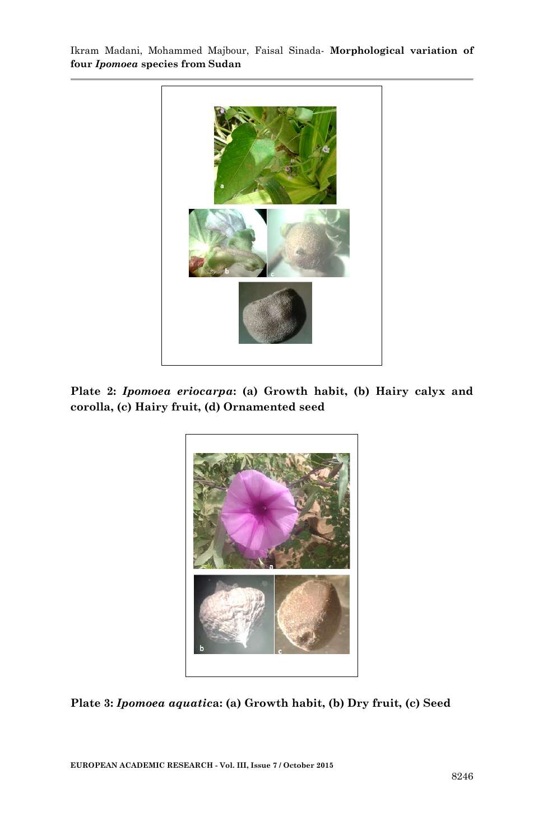

**Plate 2:** *Ipomoea eriocarpa***: (a) Growth habit, (b) Hairy calyx and corolla, (c) Hairy fruit, (d) Ornamented seed**



**Plate 3:** *Ipomoea aquatic***a: (a) Growth habit, (b) Dry fruit, (c) Seed**

**EUROPEAN ACADEMIC RESEARCH - Vol. III, Issue 7 / October 2015**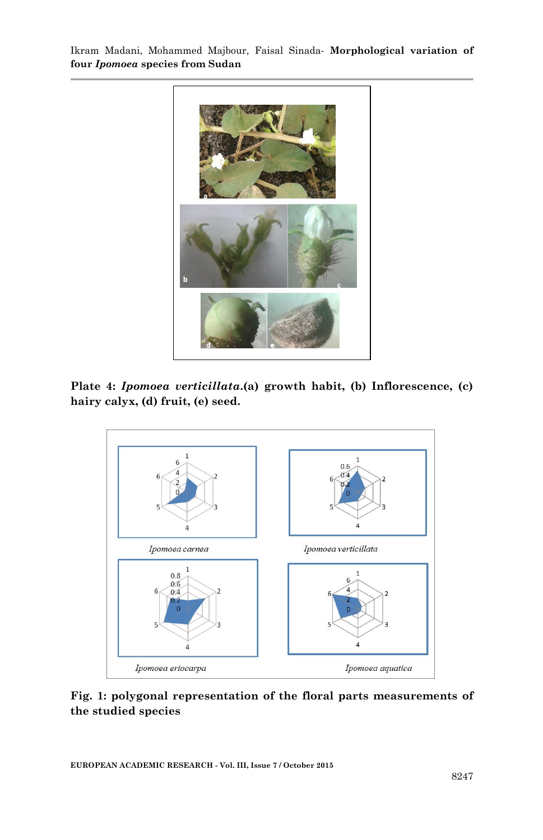

**Plate 4:** *Ipomoea verticillata***.(a) growth habit, (b) Inflorescence, (c) hairy calyx, (d) fruit, (e) seed.**



**Fig. 1: polygonal representation of the floral parts measurements of the studied species**

**EUROPEAN ACADEMIC RESEARCH - Vol. III, Issue 7 / October 2015**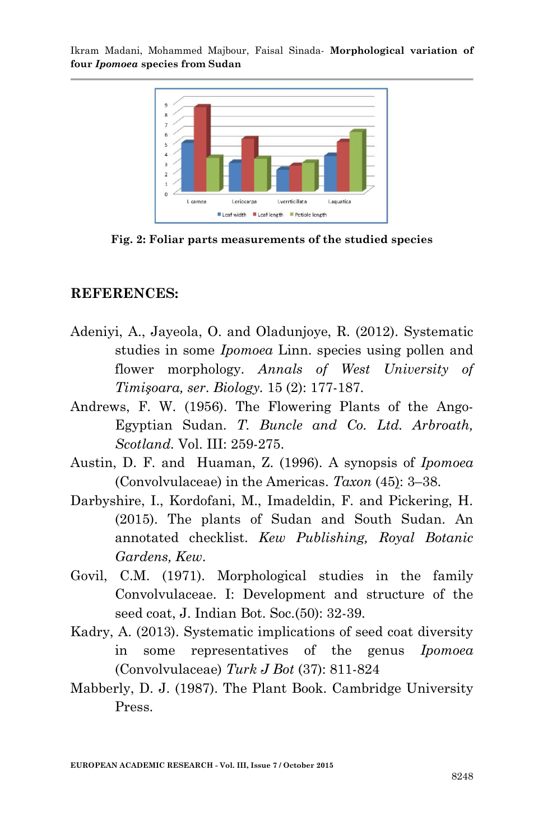

**Fig. 2: Foliar parts measurements of the studied species**

#### **REFERENCES:**

- Adeniyi, A., Jayeola, O. and Oladunjoye, R. (2012). Systematic studies in some *Ipomoea* Linn. species using pollen and flower morphology. *Annals of West University of Timişoara, ser*. *Biology.* 15 (2): 177-187.
- Andrews, F. W. (1956). The Flowering Plants of the Ango-Egyptian Sudan. *T. Buncle and Co. Ltd. Arbroath, Scotland.* Vol. III: 259-275.
- Austin, D. F. and Huaman, Z. (1996). A synopsis of *Ipomoea*  (Convolvulaceae) in the Americas. *Taxon* (45): 3–38.
- Darbyshire, I., Kordofani, M., Imadeldin, F. and Pickering, H. (2015). The plants of Sudan and South Sudan. An annotated checklist. *Kew Publishing, Royal Botanic Gardens, Kew*.
- Govil, C.M. (1971). Morphological studies in the family Convolvulaceae. I: Development and structure of the seed coat, J. Indian Bot. Soc.(50): 32-39.
- Kadry, A. (2013). Systematic implications of seed coat diversity in some representatives of the genus *Ipomoea* (Convolvulaceae) *Turk J Bot* (37): 811-824
- Mabberly, D. J. (1987). The Plant Book. Cambridge University Press.